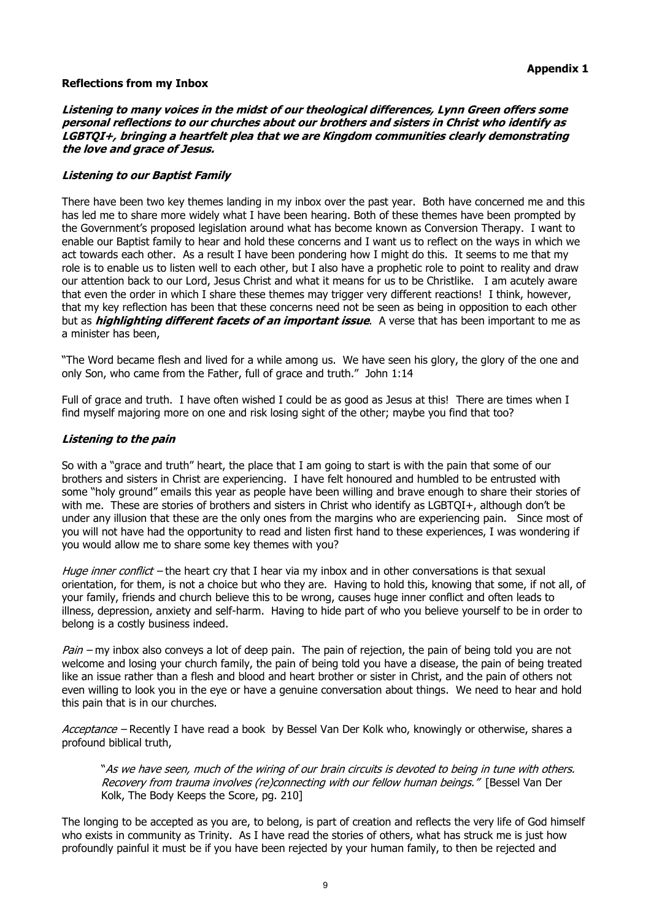#### **Reflections from my Inbox**

**Listening to many voices in the midst of our theological differences, Lynn Green offers some personal reflections to our churches about our brothers and sisters in Christ who identify as LGBTQI+, bringing <sup>a</sup> heartfelt plea that we are Kingdom communities clearly demonstrating the love and grace of Jesus.**

### **Listening to our Baptist Family**

There have been two key themes landing in my inbox over the past year. Both have concerned me and this has led me to share more widely what I have been hearing. Both of these themes have been prompted by the Government's proposed legislation around what has become known as Conversion Therapy. I want to enable our Baptist family to hear and hold these concerns and I want us to reflect on the ways in which we act towards each other. As a result I have been pondering how I might do this. It seems to me that my role is to enable us to listen well to each other, but I also have a prophetic role to point to reality and draw our attention back to our Lord, Jesus Christ and what it means for us to be Christlike. I am acutely aware that even the order in which I share these themes may trigger very different reactions! I think, however, that my key reflection has been that these concerns need not be seen as being in opposition to each other but as **highlighting different facets of an important issue**. A verse that has been important to me as a minister has been,

"The Word became flesh and lived for a while among us. We have seen his glory, the glory of the one and only Son, who came from the Father, full of grace and truth." John 1:14

Full of grace and truth. I have often wished I could be as good as Jesus at this! There are times when I find myself majoring more on one and risk losing sight of the other; maybe you find that too?

#### **Listening to the pain**

So with a "grace and truth" heart, the place that I am going to start is with the pain that some of our brothers and sisters in Christ are experiencing. I have felt honoured and humbled to be entrusted with some "holy ground" emails this year as people have been willing and brave enough to share their stories of with me. These are stories of brothers and sisters in Christ who identify as LGBTQI+, although don't be under any illusion that these are the only ones from the margins who are experiencing pain. Since most of you will not have had the opportunity to read and listen first hand to these experiences, I was wondering if you would allow me to share some key themes with you?

Huge inner conflict – the heart cry that I hear via my inbox and in other conversations is that sexual orientation, for them, is not a choice but who they are. Having to hold this, knowing that some, if not all, of your family, friends and church believe this to be wrong, causes huge inner conflict and often leads to illness, depression, anxiety and self-harm. Having to hide part of who you believe yourself to be in order to belong is a costly business indeed.

Pain – my inbox also conveys a lot of deep pain. The pain of rejection, the pain of being told you are not welcome and losing your church family, the pain of being told you have a disease, the pain of being treated like an issue rather than a flesh and blood and heart brother or sister in Christ, and the pain of others not even willing to look you in the eye or have a genuine conversation about things. We need to hear and hold this pain that is in our churches.

Acceptance – Recently I have read a book by Bessel Van Der Kolk who, knowingly or otherwise, shares a profound biblical truth,

"As we have seen, much of the wiring of our brain circuits is devoted to being in tune with others. Recovery from trauma involves (re)connecting with our fellow human beings." [Bessel Van Der Kolk, The Body Keeps the Score, pg. 210]

The longing to be accepted as you are, to belong, is part of creation and reflects the very life of God himself who exists in community as Trinity. As I have read the stories of others, what has struck me is just how profoundly painful it must be if you have been rejected by your human family, to then be rejected and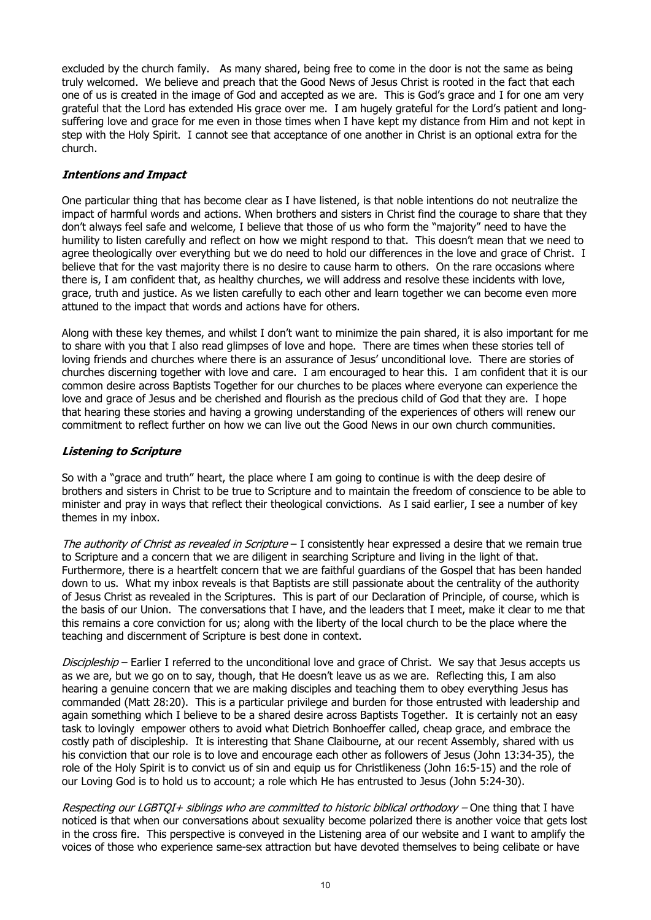excluded by the church family. As many shared, being free to come in the door is not the same as being truly welcomed. We believe and preach that the Good News of Jesus Christ is rooted in the fact that each one of us is created in the image of God and accepted as we are. This is God's grace and I for one am very grateful that the Lord has extended His grace over me. I am hugely grateful for the Lord's patient and longsuffering love and grace for me even in those times when I have kept my distance from Him and not kept in step with the Holy Spirit. I cannot see that acceptance of one another in Christ is an optional extra for the church.

## **Intentions and Impact**

One particular thing that has become clear as I have listened, is that noble intentions do not neutralize the impact of harmful words and actions. When brothers and sisters in Christ find the courage to share that they don't always feel safe and welcome, I believe that those of us who form the "majority" need to have the humility to listen carefully and reflect on how we might respond to that. This doesn't mean that we need to agree theologically over everything but we do need to hold our differences in the love and grace of Christ. I believe that for the vast majority there is no desire to cause harm to others. On the rare occasions where there is, I am confident that, as healthy churches, we will address and resolve these incidents with love, grace, truth and justice. As we listen carefully to each other and learn together we can become even more attuned to the impact that words and actions have for others.

Along with these key themes, and whilst I don't want to minimize the pain shared, it is also important for me to share with you that I also read glimpses of love and hope. There are times when these stories tell of loving friends and churches where there is an assurance of Jesus' unconditional love. There are stories of churches discerning together with love and care. I am encouraged to hear this. I am confident that it is our common desire across Baptists Together for our churches to be places where everyone can experience the love and grace of Jesus and be cherished and flourish as the precious child of God that they are. I hope that hearing these stories and having a growing understanding of the experiences of others will renew our commitment to reflect further on how we can live out the Good News in our own church communities.

## **Listening to Scripture**

So with a "grace and truth" heart, the place where I am going to continue is with the deep desire of brothers and sisters in Christ to be true to Scripture and to maintain the freedom of conscience to be able to minister and pray in ways that reflect their theological convictions. As I said earlier, I see a number of key themes in my inbox.

The authority of Christ as revealed in Scripture  $-1$  consistently hear expressed a desire that we remain true to Scripture and a concern that we are diligent in searching Scripture and living in the light of that. Furthermore, there is a heartfelt concern that we are faithful guardians of the Gospel that has been handed down to us. What my inbox reveals is that Baptists are still passionate about the centrality of the authority of Jesus Christ as revealed in the Scriptures. This is part of our Declaration of Principle, of course, which is the basis of our Union. The conversations that I have, and the leaders that I meet, make it clear to me that this remains a core conviction for us; along with the liberty of the local church to be the place where the teaching and discernment of Scripture is best done in context.

Discipleship – Earlier I referred to the unconditional love and grace of Christ. We say that Jesus accepts us as we are, but we go on to say, though, that He doesn't leave us as we are. Reflecting this, I am also hearing a genuine concern that we are making disciples and teaching them to obey everything Jesus has commanded (Matt 28:20). This is a particular privilege and burden for those entrusted with leadership and again something which I believe to be a shared desire across Baptists Together. It is certainly not an easy task to lovingly empower others to avoid what Dietrich Bonhoeffer called, cheap grace, and embrace the costly path of discipleship. It is interesting that Shane Claibourne, at our recent Assembly, shared with us his conviction that our role is to love and encourage each other as followers of Jesus (John 13:34-35), the role of the Holy Spirit is to convict us of sin and equip us for Christlikeness (John 16:5-15) and the role of our Loving God is to hold us to account; a role which He has entrusted to Jesus (John 5:24-30).

Respecting our LGBTOI+ siblings who are committed to historic biblical orthodoxy - One thing that I have noticed is that when our conversations about sexuality become polarized there is another voice that gets lost in the cross fire. This perspective is conveyed in the Listening area of our website and I want to amplify the voices of those who experience same-sex attraction but have devoted themselves to being celibate or have